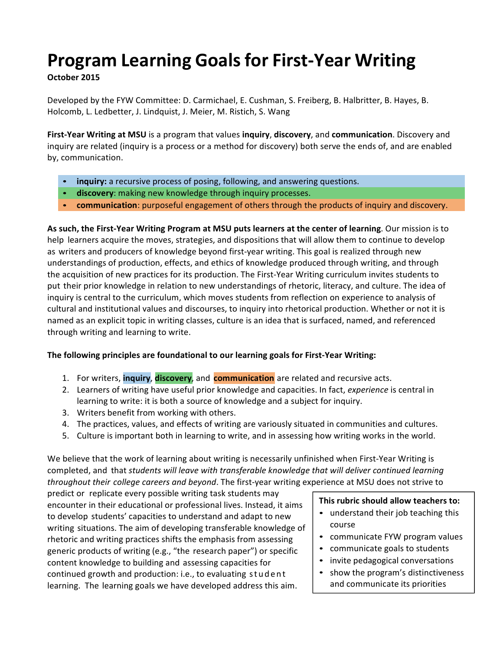# **Program Learning Goals for First-Year Writing**

# **October 2015**

Developed by the FYW Committee: D. Carmichael, E. Cushman, S. Freiberg, B. Halbritter, B. Hayes, B. Holcomb, L. Ledbetter, J. Lindquist, J. Meier, M. Ristich, S. Wang

**First-Year Writing at MSU** is a program that values inquiry, discovery, and communication. Discovery and inquiry are related (inquiry is a process or a method for discovery) both serve the ends of, and are enabled by, communication.

- **inquiry:** a recursive process of posing, following, and answering questions.
- discovery: making new knowledge through inquiry processes.
- **communication**: purposeful engagement of others through the products of inquiry and discovery.

**As such, the First-Year Writing Program at MSU puts learners at the center of learning**. Our mission is to help learners acquire the moves, strategies, and dispositions that will allow them to continue to develop as writers and producers of knowledge beyond first-year writing. This goal is realized through new understandings of production, effects, and ethics of knowledge produced through writing, and through the acquisition of new practices for its production. The First-Year Writing curriculum invites students to put their prior knowledge in relation to new understandings of rhetoric, literacy, and culture. The idea of inquiry is central to the curriculum, which moves students from reflection on experience to analysis of cultural and institutional values and discourses, to inquiry into rhetorical production. Whether or not it is named as an explicit topic in writing classes, culture is an idea that is surfaced, named, and referenced through writing and learning to write.

# **The following principles are foundational to our learning goals for First-Year Writing:**

- 1. For writers, *inquiry, discovery*, and **communication** are related and recursive acts.
- 2. Learners of writing have useful prior knowledge and capacities. In fact, *experience* is central in learning to write: it is both a source of knowledge and a subject for inquiry.
- 3. Writers benefit from working with others.
- 4. The practices, values, and effects of writing are variously situated in communities and cultures.
- 5. Culture is important both in learning to write, and in assessing how writing works in the world.

We believe that the work of learning about writing is necessarily unfinished when First-Year Writing is completed, and that *students will leave with transferable knowledge that will deliver continued learning throughout their college careers and beyond*. The first-year writing experience at MSU does not strive to

predict or replicate every possible writing task students may encounter in their educational or professional lives. Instead, it aims to develop students' capacities to understand and adapt to new writing situations. The aim of developing transferable knowledge of rhetoric and writing practices shifts the emphasis from assessing generic products of writing (e.g., "the research paper") or specific content knowledge to building and assessing capacities for continued growth and production: i.e., to evaluating student learning. The learning goals we have developed address this aim.

## **This rubric should allow teachers to:**

- understand their job teaching this course
- communicate FYW program values
- communicate goals to students
- invite pedagogical conversations
- show the program's distinctiveness and communicate its priorities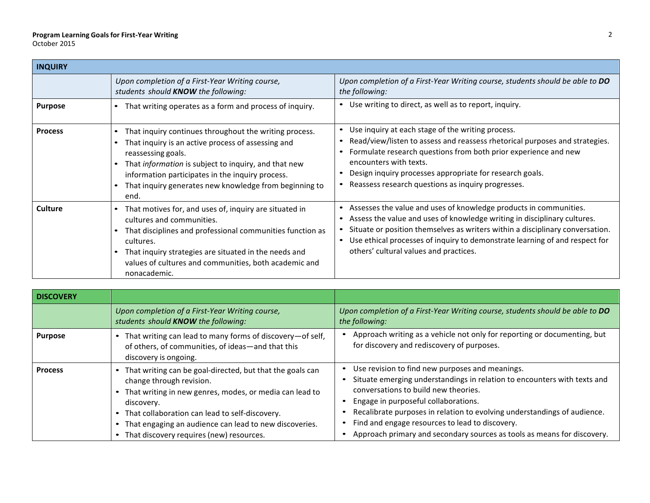## **Program Learning Goalsfor First-Year Writing** October 2015

| <b>INQUIRY</b> |                                                                                                                                                                                                                                                                                                                  |                                                                                                                                                                                                                                                                                                                                                                                                |
|----------------|------------------------------------------------------------------------------------------------------------------------------------------------------------------------------------------------------------------------------------------------------------------------------------------------------------------|------------------------------------------------------------------------------------------------------------------------------------------------------------------------------------------------------------------------------------------------------------------------------------------------------------------------------------------------------------------------------------------------|
|                | Upon completion of a First-Year Writing course,<br>students should <b>KNOW</b> the following:                                                                                                                                                                                                                    | Upon completion of a First-Year Writing course, students should be able to DO<br>the following:                                                                                                                                                                                                                                                                                                |
| <b>Purpose</b> | That writing operates as a form and process of inquiry.                                                                                                                                                                                                                                                          | Use writing to direct, as well as to report, inquiry.<br>$\bullet$                                                                                                                                                                                                                                                                                                                             |
| <b>Process</b> | That inquiry continues throughout the writing process.<br>That inquiry is an active process of assessing and<br>reassessing goals.<br>That information is subject to inquiry, and that new<br>information participates in the inquiry process.<br>That inquiry generates new knowledge from beginning to<br>end. | Use inquiry at each stage of the writing process.<br>$\bullet$<br>Read/view/listen to assess and reassess rhetorical purposes and strategies.<br>Formulate research questions from both prior experience and new<br>encounters with texts.<br>Design inquiry processes appropriate for research goals.<br>Reassess research questions as inquiry progresses.<br>$\bullet$                      |
| <b>Culture</b> | That motives for, and uses of, inquiry are situated in<br>cultures and communities.<br>That disciplines and professional communities function as<br>cultures.<br>That inquiry strategies are situated in the needs and<br>values of cultures and communities, both academic and<br>nonacademic.                  | Assesses the value and uses of knowledge products in communities.<br>$\bullet$<br>Assess the value and uses of knowledge writing in disciplinary cultures.<br>$\bullet$<br>Situate or position themselves as writers within a disciplinary conversation.<br>Use ethical processes of inquiry to demonstrate learning of and respect for<br>$\bullet$<br>others' cultural values and practices. |

| <b>DISCOVERY</b> |                                                                                                                                                                                                                                                                                                                              |                                                                                                                                                                                                                                                                                                                                                                                                                       |
|------------------|------------------------------------------------------------------------------------------------------------------------------------------------------------------------------------------------------------------------------------------------------------------------------------------------------------------------------|-----------------------------------------------------------------------------------------------------------------------------------------------------------------------------------------------------------------------------------------------------------------------------------------------------------------------------------------------------------------------------------------------------------------------|
|                  | Upon completion of a First-Year Writing course,<br>students should <b>KNOW</b> the following:                                                                                                                                                                                                                                | Upon completion of a First-Year Writing course, students should be able to DO<br>the following:                                                                                                                                                                                                                                                                                                                       |
| <b>Purpose</b>   | That writing can lead to many forms of discovery-of self,<br>of others, of communities, of ideas-and that this<br>discovery is ongoing.                                                                                                                                                                                      | Approach writing as a vehicle not only for reporting or documenting, but<br>for discovery and rediscovery of purposes.                                                                                                                                                                                                                                                                                                |
| <b>Process</b>   | That writing can be goal-directed, but that the goals can<br>change through revision.<br>• That writing in new genres, modes, or media can lead to<br>discovery.<br>• That collaboration can lead to self-discovery.<br>• That engaging an audience can lead to new discoveries.<br>That discovery requires (new) resources. | Use revision to find new purposes and meanings.<br>Situate emerging understandings in relation to encounters with texts and<br>conversations to build new theories.<br>Engage in purposeful collaborations.<br>Recalibrate purposes in relation to evolving understandings of audience.<br>Find and engage resources to lead to discovery.<br>Approach primary and secondary sources as tools as means for discovery. |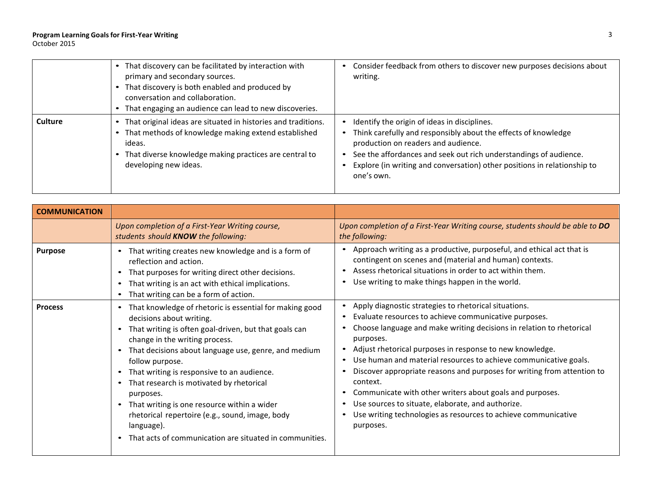## **Program Learning Goalsfor First-Year Writing** October 2015

|                | • That discovery can be facilitated by interaction with<br>primary and secondary sources.<br>• That discovery is both enabled and produced by<br>conversation and collaboration.<br>That engaging an audience can lead to new discoveries. | Consider feedback from others to discover new purposes decisions about<br>writing.                                                                                                                                                                                                                                   |
|----------------|--------------------------------------------------------------------------------------------------------------------------------------------------------------------------------------------------------------------------------------------|----------------------------------------------------------------------------------------------------------------------------------------------------------------------------------------------------------------------------------------------------------------------------------------------------------------------|
| <b>Culture</b> | That original ideas are situated in histories and traditions.<br>$\bullet$<br>• That methods of knowledge making extend established<br>ideas.<br>• That diverse knowledge making practices are central to<br>developing new ideas.         | Identify the origin of ideas in disciplines.<br>Think carefully and responsibly about the effects of knowledge<br>production on readers and audience.<br>See the affordances and seek out rich understandings of audience.<br>Explore (in writing and conversation) other positions in relationship to<br>one's own. |

| <b>COMMUNICATION</b> |                                                                                                                                                                                                                                                                                                                                                                                                                                                                                                                                                                                                                           |                                                                                                                                                                                                                                                                                                                                                                                                                                                                                                                                                                                                                                    |
|----------------------|---------------------------------------------------------------------------------------------------------------------------------------------------------------------------------------------------------------------------------------------------------------------------------------------------------------------------------------------------------------------------------------------------------------------------------------------------------------------------------------------------------------------------------------------------------------------------------------------------------------------------|------------------------------------------------------------------------------------------------------------------------------------------------------------------------------------------------------------------------------------------------------------------------------------------------------------------------------------------------------------------------------------------------------------------------------------------------------------------------------------------------------------------------------------------------------------------------------------------------------------------------------------|
|                      | Upon completion of a First-Year Writing course,<br>students should <b>KNOW</b> the following:                                                                                                                                                                                                                                                                                                                                                                                                                                                                                                                             | Upon completion of a First-Year Writing course, students should be able to DO<br>the following:                                                                                                                                                                                                                                                                                                                                                                                                                                                                                                                                    |
| <b>Purpose</b>       | That writing creates new knowledge and is a form of<br>$\bullet$<br>reflection and action.<br>That purposes for writing direct other decisions.<br>$\bullet$<br>That writing is an act with ethical implications.<br>That writing can be a form of action.                                                                                                                                                                                                                                                                                                                                                                | • Approach writing as a productive, purposeful, and ethical act that is<br>contingent on scenes and (material and human) contexts.<br>• Assess rhetorical situations in order to act within them.<br>• Use writing to make things happen in the world.                                                                                                                                                                                                                                                                                                                                                                             |
| <b>Process</b>       | That knowledge of rhetoric is essential for making good<br>decisions about writing.<br>That writing is often goal-driven, but that goals can<br>$\bullet$<br>change in the writing process.<br>That decisions about language use, genre, and medium<br>$\bullet$<br>follow purpose.<br>That writing is responsive to an audience.<br>$\bullet$<br>That research is motivated by rhetorical<br>$\bullet$<br>purposes.<br>That writing is one resource within a wider<br>$\bullet$<br>rhetorical repertoire (e.g., sound, image, body<br>language).<br>That acts of communication are situated in communities.<br>$\bullet$ | Apply diagnostic strategies to rhetorical situations.<br>Evaluate resources to achieve communicative purposes.<br>Choose language and make writing decisions in relation to rhetorical<br>purposes.<br>• Adjust rhetorical purposes in response to new knowledge.<br>• Use human and material resources to achieve communicative goals.<br>Discover appropriate reasons and purposes for writing from attention to<br>context.<br>• Communicate with other writers about goals and purposes.<br>• Use sources to situate, elaborate, and authorize.<br>Use writing technologies as resources to achieve communicative<br>purposes. |